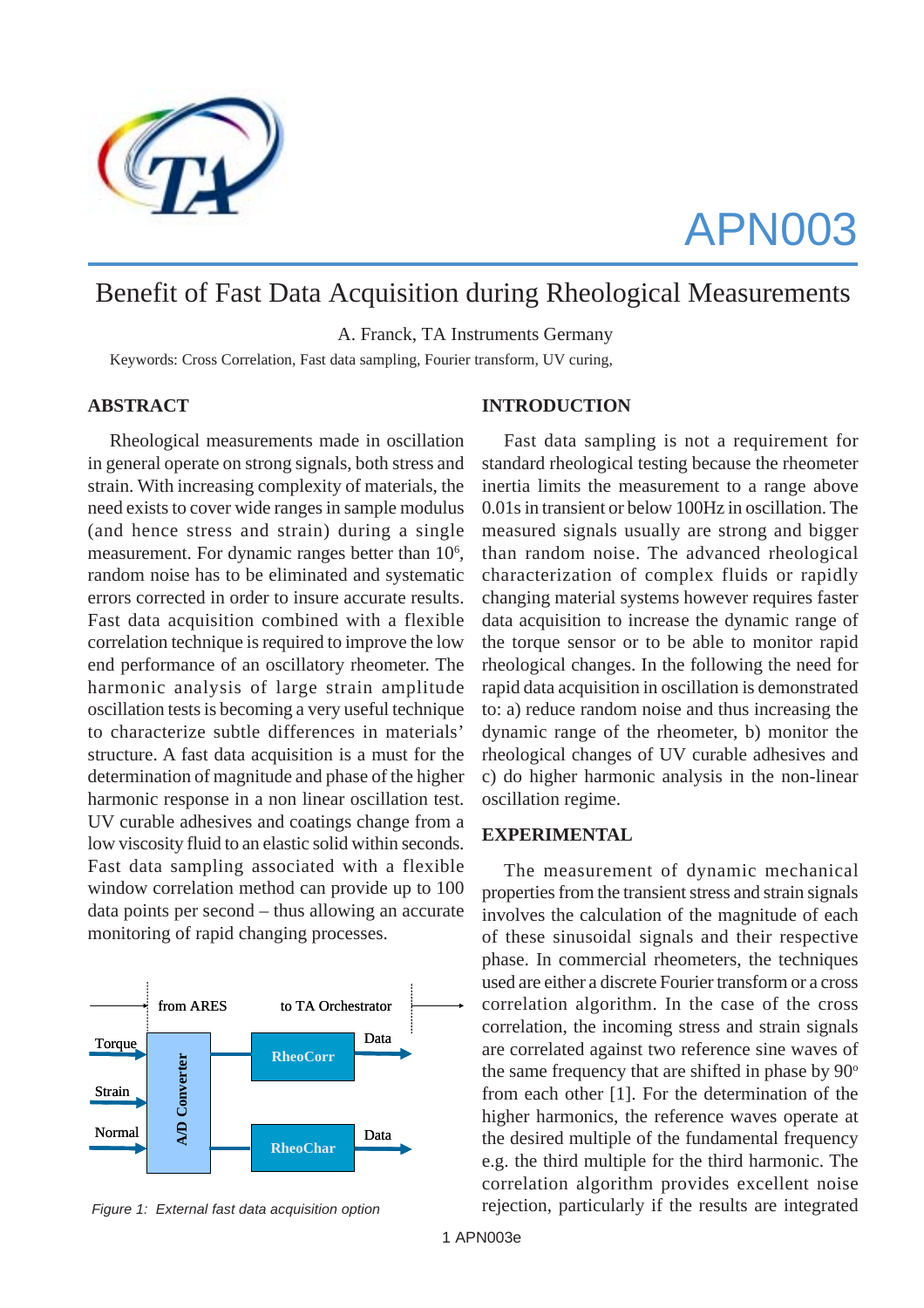

# APN003

# Benefit of Fast Data Acquisition during Rheological Measurements

A. Franck, TA Instruments Germany

Keywords: Cross Correlation, Fast data sampling, Fourier transform, UV curing,

# **ABSTRACT**

Rheological measurements made in oscillation in general operate on strong signals, both stress and strain. With increasing complexity of materials, the need exists to cover wide ranges in sample modulus (and hence stress and strain) during a single measurement. For dynamic ranges better than 10<sup>6</sup>, random noise has to be eliminated and systematic errors corrected in order to insure accurate results. Fast data acquisition combined with a flexible correlation technique is required to improve the low end performance of an oscillatory rheometer. The harmonic analysis of large strain amplitude oscillation tests is becoming a very useful technique to characterize subtle differences in materials' structure. A fast data acquisition is a must for the determination of magnitude and phase of the higher harmonic response in a non linear oscillation test. UV curable adhesives and coatings change from a low viscosity fluid to an elastic solid within seconds. Fast data sampling associated with a flexible window correlation method can provide up to 100 data points per second – thus allowing an accurate monitoring of rapid changing processes.



 *Figure 1: External fast data acquisition option*

# **INTRODUCTION**

Fast data sampling is not a requirement for standard rheological testing because the rheometer inertia limits the measurement to a range above 0.01s in transient or below 100Hz in oscillation. The measured signals usually are strong and bigger than random noise. The advanced rheological characterization of complex fluids or rapidly changing material systems however requires faster data acquisition to increase the dynamic range of the torque sensor or to be able to monitor rapid rheological changes. In the following the need for rapid data acquisition in oscillation is demonstrated to: a) reduce random noise and thus increasing the dynamic range of the rheometer, b) monitor the rheological changes of UV curable adhesives and c) do higher harmonic analysis in the non-linear oscillation regime.

# **EXPERIMENTAL**

The measurement of dynamic mechanical properties from the transient stress and strain signals involves the calculation of the magnitude of each of these sinusoidal signals and their respective phase. In commercial rheometers, the techniques used are either a discrete Fourier transform or a cross correlation algorithm. In the case of the cross correlation, the incoming stress and strain signals are correlated against two reference sine waves of the same frequency that are shifted in phase by  $90^\circ$ from each other [1]. For the determination of the higher harmonics, the reference waves operate at the desired multiple of the fundamental frequency e.g. the third multiple for the third harmonic. The correlation algorithm provides excellent noise rejection, particularly if the results are integrated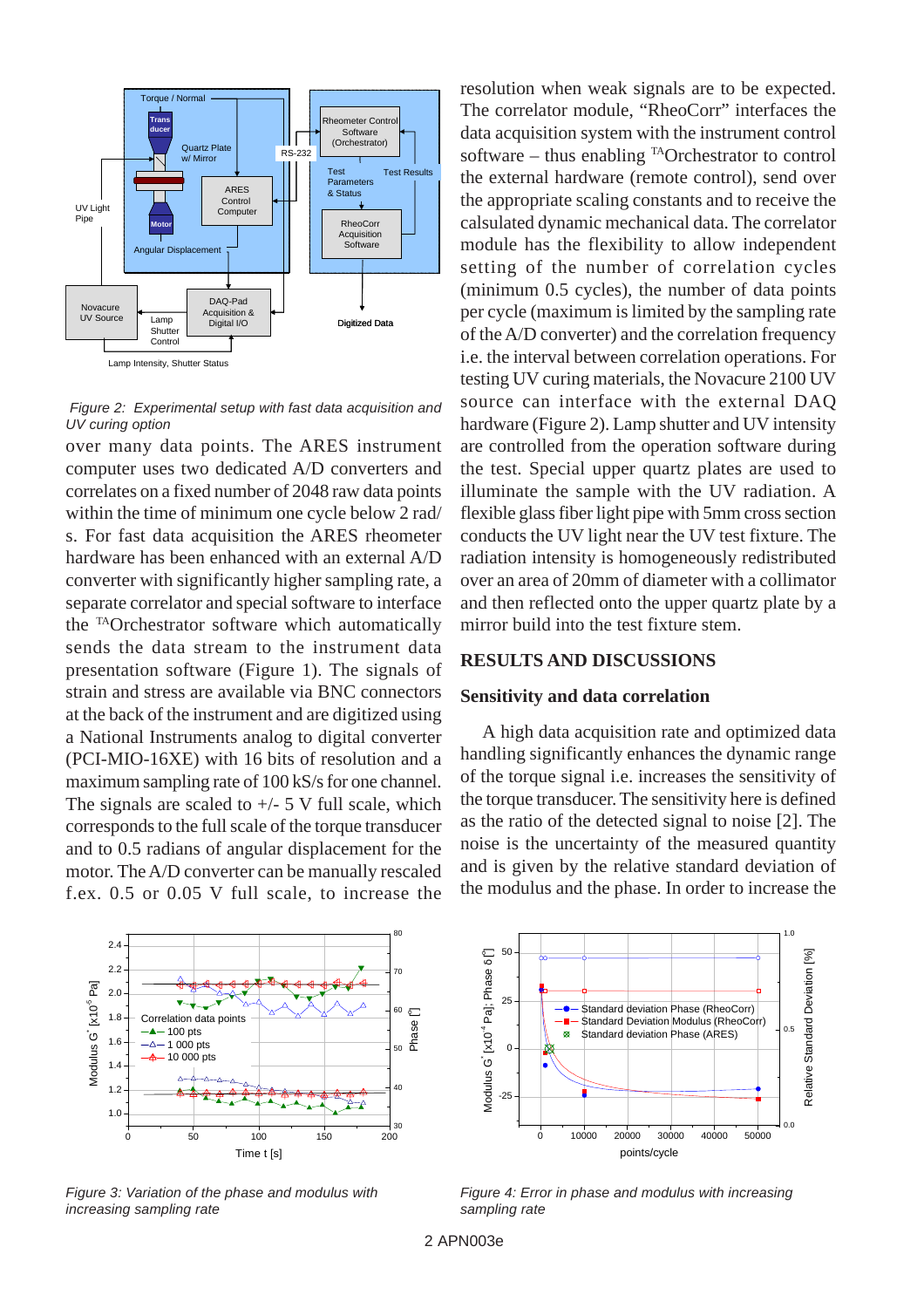

 *Figure 2: Experimental setup with fast data acquisition and UV curing option*

over many data points. The ARES instrument computer uses two dedicated A/D converters and correlates on a fixed number of 2048 raw data points within the time of minimum one cycle below 2 rad/ s. For fast data acquisition the ARES rheometer hardware has been enhanced with an external A/D converter with significantly higher sampling rate, a separate correlator and special software to interface the TAOrchestrator software which automatically sends the data stream to the instrument data presentation software (Figure 1). The signals of strain and stress are available via BNC connectors at the back of the instrument and are digitized using a National Instruments analog to digital converter (PCI-MIO-16XE) with 16 bits of resolution and a maximum sampling rate of 100 kS/s for one channel. The signals are scaled to  $+/- 5$  V full scale, which corresponds to the full scale of the torque transducer and to 0.5 radians of angular displacement for the motor. The A/D converter can be manually rescaled f.ex. 0.5 or 0.05 V full scale, to increase the



*Figure 3: Variation of the phase and modulus with increasing sampling rate*

resolution when weak signals are to be expected. The correlator module, "RheoCorr" interfaces the data acquisition system with the instrument control software – thus enabling  $^{TA}$ Orchestrator to control the external hardware (remote control), send over the appropriate scaling constants and to receive the calsulated dynamic mechanical data. The correlator module has the flexibility to allow independent setting of the number of correlation cycles (minimum 0.5 cycles), the number of data points per cycle (maximum is limited by the sampling rate of the A/D converter) and the correlation frequency i.e. the interval between correlation operations. For testing UV curing materials, the Novacure 2100 UV source can interface with the external DAQ hardware (Figure 2). Lamp shutter and UV intensity are controlled from the operation software during the test. Special upper quartz plates are used to illuminate the sample with the UV radiation. A flexible glass fiber light pipe with 5mm cross section conducts the UV light near the UV test fixture. The radiation intensity is homogeneously redistributed over an area of 20mm of diameter with a collimator and then reflected onto the upper quartz plate by a mirror build into the test fixture stem.

## **RESULTS AND DISCUSSIONS**

#### **Sensitivity and data correlation**

A high data acquisition rate and optimized data handling significantly enhances the dynamic range of the torque signal i.e. increases the sensitivity of the torque transducer. The sensitivity here is defined as the ratio of the detected signal to noise [2]. The noise is the uncertainty of the measured quantity and is given by the relative standard deviation of the modulus and the phase. In order to increase the



*Figure 4: Error in phase and modulus with increasing sampling rate*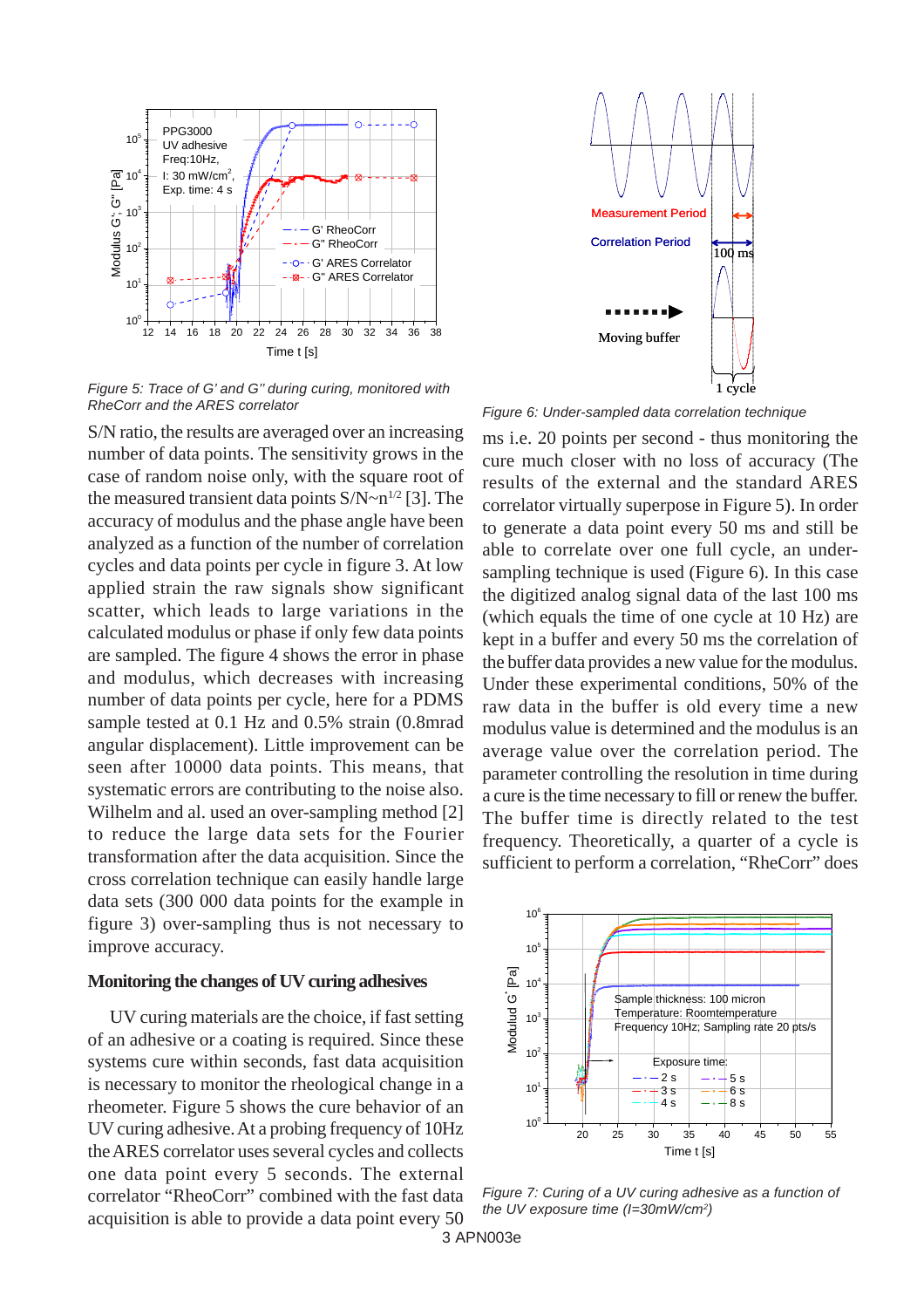

*Figure 5: Trace of G' and G'' during curing, monitored with RheCorr and the ARES correlator*

S/N ratio, the results are averaged over an increasing number of data points. The sensitivity grows in the case of random noise only, with the square root of the measured transient data points  $S/N \sim n^{1/2}$  [3]. The accuracy of modulus and the phase angle have been analyzed as a function of the number of correlation cycles and data points per cycle in figure 3. At low applied strain the raw signals show significant scatter, which leads to large variations in the calculated modulus or phase if only few data points are sampled. The figure 4 shows the error in phase and modulus, which decreases with increasing number of data points per cycle, here for a PDMS sample tested at 0.1 Hz and 0.5% strain (0.8mrad angular displacement). Little improvement can be seen after 10000 data points. This means, that systematic errors are contributing to the noise also. Wilhelm and al. used an over-sampling method [2] to reduce the large data sets for the Fourier transformation after the data acquisition. Since the cross correlation technique can easily handle large data sets (300 000 data points for the example in figure 3) over-sampling thus is not necessary to improve accuracy.

# **Monitoring the changes of UV curing adhesives**

UV curing materials are the choice, if fast setting of an adhesive or a coating is required. Since these systems cure within seconds, fast data acquisition is necessary to monitor the rheological change in a rheometer. Figure 5 shows the cure behavior of an UV curing adhesive. At a probing frequency of 10Hz the ARES correlator uses several cycles and collects one data point every 5 seconds. The external correlator "RheoCorr" combined with the fast data acquisition is able to provide a data point every 50



*Figure 6: Under-sampled data correlation technique*

ms i.e. 20 points per second - thus monitoring the cure much closer with no loss of accuracy (The results of the external and the standard ARES correlator virtually superpose in Figure 5). In order to generate a data point every 50 ms and still be able to correlate over one full cycle, an undersampling technique is used (Figure 6). In this case the digitized analog signal data of the last 100 ms (which equals the time of one cycle at 10 Hz) are kept in a buffer and every 50 ms the correlation of the buffer data provides a new value for the modulus. Under these experimental conditions, 50% of the raw data in the buffer is old every time a new modulus value is determined and the modulus is an average value over the correlation period. The parameter controlling the resolution in time during a cure is the time necessary to fill or renew the buffer. The buffer time is directly related to the test frequency. Theoretically, a quarter of a cycle is sufficient to perform a correlation, "RheCorr" does



*Figure 7: Curing of a UV curing adhesive as a function of the UV exposure time (I=30mW/cm2 )*